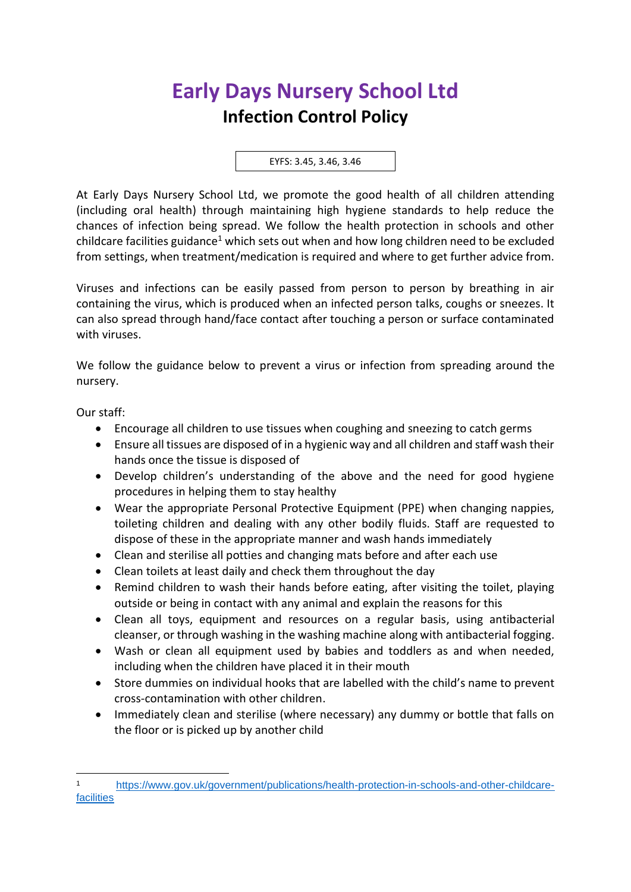## **Early Days Nursery School Ltd Infection Control Policy**

EYFS: 3.45, 3.46, 3.46

At Early Days Nursery School Ltd, we promote the good health of all children attending (including oral health) through maintaining high hygiene standards to help reduce the chances of infection being spread. We follow the health protection in schools and other childcare facilities guidance<sup>1</sup> which sets out when and how long children need to be excluded from settings, when treatment/medication is required and where to get further advice from.

Viruses and infections can be easily passed from person to person by breathing in air containing the virus, which is produced when an infected person talks, coughs or sneezes. It can also spread through hand/face contact after touching a person or surface contaminated with viruses.

We follow the guidance below to prevent a virus or infection from spreading around the nursery.

Our staff:

- Encourage all children to use tissues when coughing and sneezing to catch germs
- Ensure all tissues are disposed of in a hygienic way and all children and staff wash their hands once the tissue is disposed of
- Develop children's understanding of the above and the need for good hygiene procedures in helping them to stay healthy
- Wear the appropriate Personal Protective Equipment (PPE) when changing nappies, toileting children and dealing with any other bodily fluids. Staff are requested to dispose of these in the appropriate manner and wash hands immediately
- Clean and sterilise all potties and changing mats before and after each use
- Clean toilets at least daily and check them throughout the day
- Remind children to wash their hands before eating, after visiting the toilet, playing outside or being in contact with any animal and explain the reasons for this
- Clean all toys, equipment and resources on a regular basis, using antibacterial cleanser, or through washing in the washing machine along with antibacterial fogging.
- Wash or clean all equipment used by babies and toddlers as and when needed, including when the children have placed it in their mouth
- Store dummies on individual hooks that are labelled with the child's name to prevent cross-contamination with other children.
- Immediately clean and sterilise (where necessary) any dummy or bottle that falls on the floor or is picked up by another child

<sup>1</sup> [https://www.gov.uk/government/publications/health-protection-in-schools-and-other-childcare](https://www.gov.uk/government/publications/health-protection-in-schools-and-other-childcare-facilities)**[facilities](https://www.gov.uk/government/publications/health-protection-in-schools-and-other-childcare-facilities)**